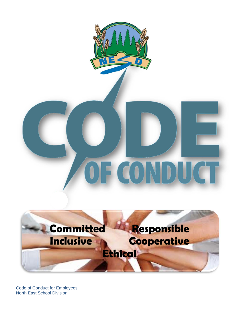

# OF CONDU



Code of Conduct for Employees North East School Division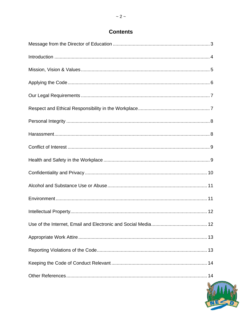# **Contents**

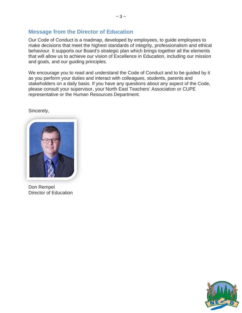# **Message from the Director of Education**

Our Code of Conduct is a roadmap, developed by employees, to guide employees to make decisions that meet the highest standards of integrity, professionalism and ethical behaviour. It supports our Board's strategic plan which brings together all the elements that will allow us to achieve our vision of Excellence in Education, including our mission and goals, and our guiding principles.

We encourage you to read and understand the Code of Conduct and to be guided by it as you perform your duties and interact with colleagues, students, parents and stakeholders on a daily basis. If you have any questions about any aspect of the Code, please consult your supervisor, your North East Teachers' Association or CUPE representative or the Human Resources Department.

Sincerely,



Don Rempel Director of Education

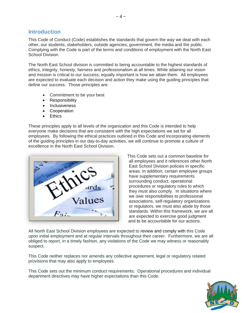# **Introduction**

This Code of Conduct (Code) establishes the standards that govern the way we deal with each other, our students, stakeholders, outside agencies, government, the media and the public. Complying with the Code is part of the terms and conditions of employment with the North East School Division.

The North East School division is committed to being accountable to the highest standards of ethics, integrity, honesty, fairness and professionalism at all times. While attaining our vision and mission is critical to our success, equally important is how we attain them. All employees are expected to evaluate each decision and action they make using the guiding principles that define our success. Those principles are:

- Commitment to be your best
- Responsibility
- Inclusiveness
- Cooperation
- **Ethics**

These principles apply to all levels of the organization and this Code is intended to help everyone make decisions that are consistent with the high expectations we set for all employees. By following the ethical practices outlined in this Code and incorporating elements of the guiding principles in our day-to-day activities, we will continue to promote a culture of excellence in the North East School Division.



This Code sets out a common baseline for all employees and it references other North East School Division policies in specific areas. In addition, certain employee groups have supplementary requirements surrounding conduct, operational procedures or regulatory rules to which they must also comply. In situations where we owe responsibilities to professional associations, self-regulatory organizations or regulators, we must also abide by those standards. Within this framework, we are all are expected to exercise good judgment and to be accountable for our actions.

All North East School Division employees are expected to review and comply with this Code upon initial employment and at regular intervals throughout their career. Furthermore, we are all obliged to report, in a timely fashion, any violations of the Code we may witness or reasonably suspect.

This Code neither replaces nor amends any collective agreement, legal or regulatory related provisions that may also apply to employees.

This Code sets out the minimum conduct requirements. Operational procedures and individual department directives may have higher expectations than this Code.

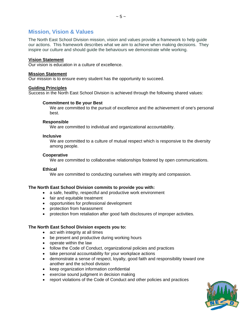# **Mission, Vision & Values**

The North East School Division mission, vision and values provide a framework to help guide our actions. This framework describes what we aim to achieve when making decisions. They inspire our culture and should guide the behaviours we demonstrate while working.

## **Vision Statement**

Our vision is education in a culture of excellence.

## **Mission Statement**

Our mission is to ensure every student has the opportunity to succeed.

## **Guiding Principles**

Success in the North East School Division is achieved through the following shared values:

## **Commitment to Be your Best**

We are committed to the pursuit of excellence and the achievement of one's personal best.

## **Responsible**

We are committed to individual and organizational accountability.

## **Inclusive**

We are committed to a culture of mutual respect which is responsive to the diversity among people.

#### **Cooperative**

We are committed to collaborative relationships fostered by open communications.

## **Ethical**

We are committed to conducting ourselves with integrity and compassion.

## **The North East School Division commits to provide you with:**

- a safe, healthy, respectful and productive work environment
- fair and equitable treatment
- opportunities for professional development
- protection from harassment
- protection from retaliation after good faith disclosures of improper activities.

## **The North East School Division expects you to:**

- act with integrity at all times
- be present and productive during working hours
- operate within the law
- follow the Code of Conduct, organizational policies and practices
- take personal accountability for your workplace actions
- demonstrate a sense of respect, loyalty, good faith and responsibility toward one another and the school division
- keep organization information confidential
- exercise sound judgment in decision making
- report violations of the Code of Conduct and other policies and practices

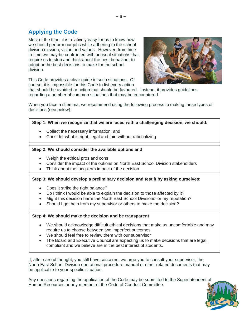# **Applying the Code**

Most of the time, it is relatively easy for us to know how we should perform our jobs while adhering to the school division mission, vision and values. However, from time to time we may be confronted with unusual situations that require us to stop and think about the best behaviour to adopt or the best decisions to make for the school division.



This Code provides a clear guide in such situations. Of course, it is impossible for this Code to list every action

that should be avoided or action that should be favoured. Instead, it provides guidelines regarding a number of common situations that may be encountered.

When you face a dilemma, we recommend using the following process to making these types of decisions (see below):

## **Step 1: When we recognize that we are faced with a challenging decision, we should:**

- Collect the necessary information, and
- Consider what is right, legal and fair, without rationalizing

## **Step 2: We should consider the available options and:**

- Weigh the ethical pros and cons
- Consider the impact of the options on North East School Division stakeholders
- Think about the long-term impact of the decision

#### **Step 3: We should develop a preliminary decision and test it by asking ourselves:**

- Does it strike the right balance?
- Do I think I would be able to explain the decision to those affected by it?
- Might this decision harm the North East School Divisions' or my reputation?
- Should I get help from my supervisor or others to make the decision?

#### **Step 4: We should make the decision and be transparent**

- We should acknowledge difficult ethical decisions that make us uncomfortable and may require us to choose between two imperfect outcomes
- We should feel free to review them with our supervisor
- The Board and Executive Council are expecting us to make decisions that are legal, compliant and we believe are in the best interest of students.

If, after careful thought, you still have concerns, we urge you to consult your supervisor, the North East School Division operational procedure manual or other related documents that may be applicable to your specific situation.

Any questions regarding the application of the Code may be submitted to the Superintendent of Human Resources or any member of the Code of Conduct Committee.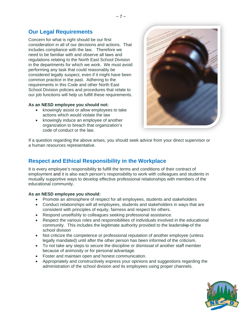# **Our Legal Requirements**

Concern for what is right should be our first consideration in all of our decisions and actions. That includes compliance with the law. Therefore we need to be familiar with and observe all laws and regulations relating to the North East School Division in the departments for which we work. We must avoid performing any task that could reasonably be considered legally suspect, even if it might have been common practice in the past. Adhering to the requirements in this Code and other North East School Division policies and procedures that relate to our job functions will help us fulfill these requirements.

## **As an NESD employee you should not:**

- knowingly assist or allow employees to take actions which would violate the law
- knowingly induce an employee of another organization to breach that organization's code of conduct or the law.



If a question regarding the above arises, you should seek advice from your direct supervisor or a human resources representative.

# **Respect and Ethical Responsibility in the Workplace**

It is every employee's responsibility to fulfill the terms and conditions of their contract of employment and it is also each person's responsibility to work with colleagues and students in mutually supportive ways to develop effective professional relationships with members of the educational community.

## **As an NESD employee you should:**

- Promote an atmosphere of respect for all employees, students and stakeholders
- Conduct relationships will all employees, students and stakeholders in ways that are consistent with principles of equity, fairness and respect for others.
- Respond unselfishly to colleagues seeking professional assistance.
- Respect the various roles and responsibilities of individuals involved in the educational community. This includes the legitimate authority provided to the leadership of the school division
- Not criticize the competence or professional reputation of another employee (unless legally mandated) until after the other person has been informed of the criticism.
- To not take any steps to secure the discipline or dismissal of another staff member because of animosity or for personal advantage.
- Foster and maintain open and honest communication.
- Appropriately and constructively express your opinions and suggestions regarding the administration of the school division and its employees using proper channels.

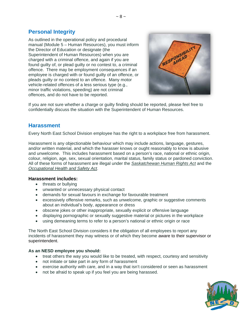# **Personal Integrity**

As outlined in the operational policy and procedural manual (Module 5 – Human Resources), you must inform the Director of Education or designate (the Superintendent of Human Resources) when you are charged with a criminal offence, and again if you are found guilty of, or plead guilty or no contest to, a criminal offence. There may be employment consequences if an employee is charged with or found guilty of an offence, or pleads guilty or no contest to an offence. Many motor vehicle-related offences of a less serious type (e.g., minor traffic violations, speeding) are not criminal offences, and do not have to be reported.



If you are not sure whether a charge or guilty finding should be reported, please feel free to confidentially discuss the situation with the Superintendent of Human Resources.

# **Harassment**

Every North East School Division employee has the right to a workplace free from harassment.

Harassment is any objectionable behaviour which may include actions, language, gestures, and/or written material, and which the harasser knows or ought reasonably to know is abusive and unwelcome. This includes harassment based on a person's race, national or ethnic origin, colour, religion, age, sex, sexual orientation, marital status, family status or pardoned conviction. All of these forms of harassment are illegal under the *Saskatchewan Human Rights Act* and the *Occupational Health and Safety Act*.

# **Harassment includes:**

- threats or bullying
- unwanted or unnecessary physical contact
- demands for sexual favours in exchange for favourable treatment
- excessively offensive remarks, such as unwelcome, graphic or suggestive comments about an individual's body, appearance or dress
- obscene jokes or other inappropriate, sexually explicit or offensive language
- displaying pornographic or sexually suggestive material or pictures in the workplace
- using demeaning terms to refer to a person's national or ethnic origin or race

The North East School Division considers it the obligation of all employees to report any incidents of harassment they may witness or of which they become aware to their supervisor or superintendent.

## **As an NESD employee you should:**

- treat others the way you would like to be treated, with respect, courtesy and sensitivity
- not initiate or take part in any form of harassment
- exercise authority with care, and in a way that isn't considered or seen as harassment
- not be afraid to speak up if you feel you are being harassed.

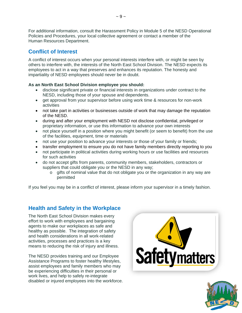For additional information, consult the Harassment Policy in Module 5 of the NESD Operational Policies and Procedures, your local collective agreement or contact a member of the Human Resources Department.

# **Conflict of Interest**

A conflict of interest occurs when your personal interests interfere with, or might be seen by others to interfere with, the interests of the North East School Division. The NESD expects its employees to act in a way that preserves and enhances its reputation. The honesty and impartiality of NESD employees should never be in doubt.

# **As an North East School Division employee you should:**

- disclose significant private or financial interests in organizations under contract to the NESD, including those of your spouse and dependents.
- get approval from your supervisor before using work time & resources for non-work activities
- not take part in activities or businesses outside of work that may damage the reputation of the NESD.
- during and after your employment with NESD not disclose confidential, privileged or proprietary information, or use this information to advance your own interests
- not place yourself in a position where you might benefit (or seem to benefit) from the use of the facilities, equipment, time or materials
- not use your position to advance your interests or those of your family or friends;
- transfer employment to ensure you do not have family members directly reporting to you
- not participate in political activities during working hours or use facilities and resources for such activities
- do not accept gifts from parents, community members, stakeholders, contractors or suppliers that could obligate you or the NESD in any way;
	- $\circ$  gifts of nominal value that do not obligate you or the organization in any way are permitted

If you feel you may be in a conflict of interest, please inform your supervisor in a timely fashion.

# **Health and Safety in the Workplace**

The North East School Division makes every effort to work with employees and bargaining agents to make our workplaces as safe and healthy as possible. The integration of safety and health considerations in all work-related activities, processes and practices is a key means to reducing the risk of injury and illness.

The NESD provides training and our Employee Assistance Programs to foster healthy lifestyles, assist employees and family members who may be experiencing difficulties in their personal or work lives, and help to safely re-integrate disabled or injured employees into the workforce.



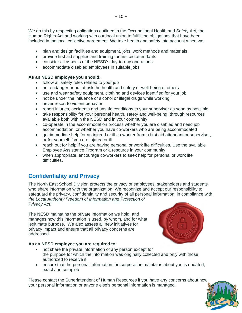We do this by respecting obligations outlined in the Occupational Health and Safety Act, the Human Rights Act and working with our local union to fulfill the obligations that have been included in the local collective agreement. We take health and safety into account when we:

- plan and design facilities and equipment, jobs, work methods and materials
- provide first aid supplies and training for first aid attendants
- consider all aspects of the NESD's day-to-day operations.
- accommodate disabled employees in suitable jobs

## **As an NESD employee you should:**

- follow all safety rules related to your job
- not endanger or put at risk the health and safety or well-being of others
- use and wear safety equipment, clothing and devices identified for your job
- not be under the influence of alcohol or illegal drugs while working
- never resort to violent behavior
- report injuries, accidents and unsafe conditions to your supervisor as soon as possible
- take responsibility for your personal health, safety and well-being, through resources available both within the NESD and in your community
- co-operate in the accommodation process whether you are disabled and need job accommodation, or whether you have co-workers who are being accommodated
- get immediate help for an injured or ill co-worker from a first aid attendant or supervisor, or for yourself if you are injured or ill
- reach out for help if you are having personal or work life difficulties. Use the available Employee Assistance Program or a resource in your community
- when appropriate, encourage co-workers to seek help for personal or work life difficulties.

# **Confidentiality and Privacy**

The North East School Division protects the privacy of employees, stakeholders and students who share information with the organization. We recognize and accept our responsibility to safeguard the privacy, confidentiality and security of all personal information, in compliance with *the Local Authority Freedom of Information and Protection of Privacy Act*.

The NESD maintains the private information we hold, and manages how this information is used, by whom, and for what legitimate purpose. We also assess all new initiatives for privacy impact and ensure that all privacy concerns are addressed.

# **As an NESD employee you are required to:**

- not share the private information of any person except for the purpose for which the information was originally collected and only with those authorized to receive it
- ensure that the personal information the corporation maintains about you is updated, exact and complete

Please contact the Superintendent of Human Resources if you have any concerns about how your personal information or anyone else's personal information is managed.



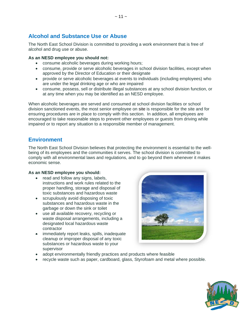# **Alcohol and Substance Use or Abuse**

The North East School Division is committed to providing a work environment that is free of alcohol and drug use or abuse.

## **As an NESD employee you should not:**

- consume alcoholic beverages during working hours;
- consume, provide or serve alcoholic beverages in school division facilities, except when approved by the Director of Education or their designate
- provide or serve alcoholic beverages at events to individuals (including employees) who are under the legal drinking age or who are impaired
- consume, possess, sell or distribute illegal substances at any school division function, or at any time when you may be identified as an NESD employee.

When alcoholic beverages are served and consumed at school division facilities or school division sanctioned events, the most senior employee on site is responsible for the site and for ensuring procedures are in place to comply with this section. In addition, all employees are encouraged to take reasonable steps to prevent other employees or guests from driving while impaired or to report any situation to a responsible member of management.

# **Environment**

The North East School Division believes that protecting the environment is essential to the wellbeing of its employees and the communities it serves. The school division is committed to comply with all environmental laws and regulations, and to go beyond them whenever it makes economic sense.

## **As an NESD employee you should:**

- read and follow any signs, labels, instructions and work rules related to the proper handling, storage and disposal of toxic substances and hazardous waste
- scrupulously avoid disposing of toxic substances and hazardous waste in the garbage or down the sink or toilet
- use all available recovery, recycling or waste disposal arrangements, including a designated local hazardous waste contractor
- immediately report leaks, spills, inadequate cleanup or improper disposal of any toxic substances or hazardous waste to your supervisor



- adopt environmentally friendly practices and products where feasible
- recycle waste such as paper, cardboard, glass, Styrofoam and metal where possible.

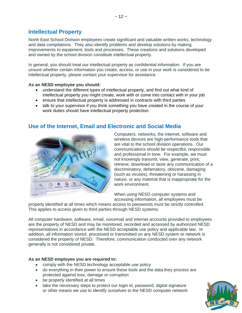# **Intellectual Property**

North East School Division employees create significant and valuable written works, technology and data compilations. They also identify problems and develop solutions by making improvements to equipment, tools and processes. These creations and solutions developed and owned by the school division constitute intellectual property.

In general, you should treat our intellectual property as confidential information. If you are unsure whether certain information you create, access, or use in your work is considered to be intellectual property, please contact your supervisor for assistance.

## **As an NESD employee you should:**

- understand the different types of intellectual property, and find out what kind of intellectual property you might create, work with or come into contact with in your job
- ensure that intellectual property is addressed in contracts with third parties
- talk to your supervisor if you think something you have created in the course of your work duties should have intellectual property protection.



# **Use of the Internet, Email and Electronic and Social Media**

Computers, networks, the internet, software and wireless devices are high-performance tools that are vital to the school division operations. Our communications should be respectful, responsible and professional in tone. For example, we must not knowingly transmit, view, generate, print, retrieve, download or store any communication of a discriminatory, defamatory, obscene, damaging (such as viruses), threatening or harassing in nature, or any material that is inappropriate for the work environment.

When using NESD computer systems and accessing information, all employees must be

properly identified at all times which means access to passwords must be strictly controlled. This applies to access given to third parties through NESD systems.

All computer hardware, software, email, voicemail and internet accounts provided to employees are the property of NESD and may be monitored, recorded and accessed by authorized NESD representatives in accordance with the NESD acceptable use policy and applicable law. In addition, all information stored, processed or transmitted on any NESD system or network is considered the property of NESD. Therefore, communication conducted over any network generally is not considered private.

# **As an NESD employee you are required to:**

- comply with the NESD technology acceptable use policy
- do everything in their power to ensure these tools and the data they process are protected against loss, damage or corruption
- be properly identified at all times
- take the necessary steps to protect our login id, password, digital signature or other means we use to identify ourselves to the NESD computer network

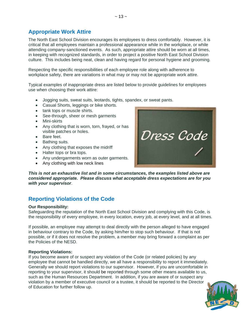# **Appropriate Work Attire**

The North East School Division encourages its employees to dress comfortably. However, it is critical that all employees maintain a professional appearance while in the workplace, or while attending company-sanctioned events. As such, appropriate attire should be worn at all times, in keeping with recognized standards, in order to project a positive North East School Division culture. This includes being neat, clean and having regard for personal hygiene and grooming.

Respecting the specific responsibilities of each employee role along with adherence to workplace safety, there are variations in what may or may not be appropriate work attire.

Typical examples of inappropriate dress are listed below to provide guidelines for employees use when choosing their work attire:

- Jogging suits, sweat suits, leotards, tights, spandex, or sweat pants.
- Casual Shorts, leggings or bike shorts.
- tank tops or muscle shirts.
- See-through, sheer or mesh garments
- Mini-skirts
- Any clothing that is worn, torn, frayed, or has visible patches or holes.
- Bare feet.
- Bathing suits.
- Any clothing that exposes the midriff
- Halter tops or bra tops.
- Any undergarments worn as outer garments.
- Any clothing with low neck lines

Dress Code

*This is not an exhaustive list and in some circumstances, the examples listed above are considered appropriate. Please discuss what acceptable dress expectations are for you with your supervisor*.

# **Reporting Violations of the Code**

#### **Our Responsibility:**

Safeguarding the reputation of the North East School Division and complying with this Code, is the responsibility of every employee, in every location, every job, at every level, and at all times.

If possible, an employee may attempt to deal directly with the person alleged to have engaged in behaviour contrary to the Code, by asking him/her to stop such behaviour. If that is not possible, or if it does not resolve the problem, a member may bring forward a complaint as per the Policies of the NESD.

## **Reporting Violations:**

If you become aware of or suspect any violation of the Code (or related policies) by any employee that cannot be handled directly, we all have a responsibility to report it immediately. Generally we should report violations to our supervisor. However, if you are uncomfortable in reporting to your supervisor, it should be reported through some other means available to us, such as the Human Resources Department. In addition, if you are aware of or suspect any violation by a member of executive council or a trustee, it should be reported to the Director of Education for further follow up.